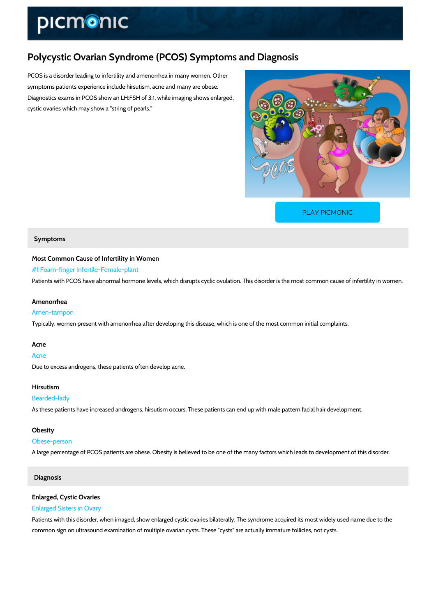# Polycystic Ovarian Syndrome (PCOS) Symptoms and Diagnos

PCOS is a disorder leading to infertility and amenorrhea in many women. Other symptoms patients experience include hirsutism, acne and many are obese. Diagnostics exams in PCOS show an LH:FSH of 3:1, while imaging shows enlarged, cystic ovaries which may show a "string of pearls."

[PLAY PICMONIC](https://www.picmonic.com/learn/polycystic-ovarian-syndrome-pcos-symptoms-and-diagnosis_1390?utm_source=downloadable_content&utm_medium=distributedcontent&utm_campaign=pathways_pdf&utm_content=Polycystic Ovarian Syndrome (PCOS) Symptoms and Diagnosis&utm_ad_group=leads&utm_market=all)

#### Symptoms

Most Common Cause of Infertility in Women #1 Foam-finger Infertile-Female-plant Patients with PCOS have abnormal hormone levels, which disrupts cyclic ovulation. This disor

#### Amenorrhea

#### Amen-tampon

Typically, women present with amenorrhea after developing this disease, which is one of the r

#### Acne

## Acne Due to excess androgens, these patients often develop acne.

## Hirsutism

### Bearded-lady

As these patients have increased androgens, hirsutism occurs. These patients can end up with

#### Obesity

#### Obese-person

A large percentage of PCOS patients are obese. Obesity is believed to be one of the many fac

#### Diagnosis

## Enlarged, Cystic Ovaries

## Enlarged Sisters in Ovary

Patients with this disorder, when imaged, show enlarged cystic ovaries bilaterally. The syndrome action common sign on ultrasound examination of multiple ovarian cysts. These "cysts" are actually i